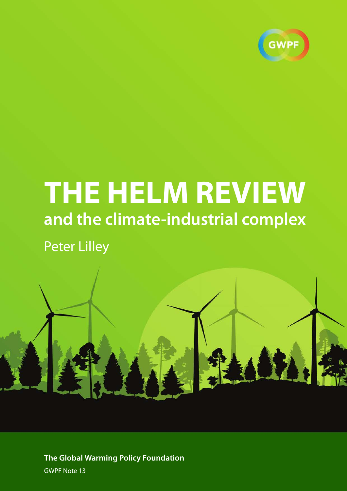

# **THE HELM REVIEW and the climate-industrial complex**

Peter Lilley



**The Global Warming Policy Foundation** GWPF Note 13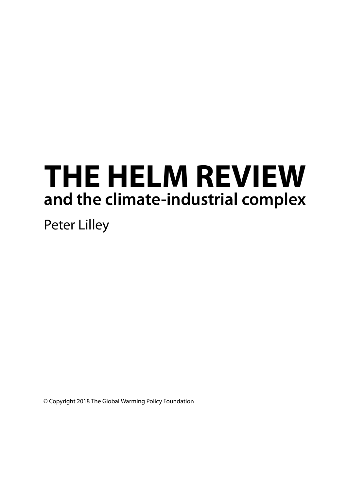# **THE HELM REVIEW and the climate-industrial complex**

Peter Lilley

© Copyright 2018 The Global Warming Policy Foundation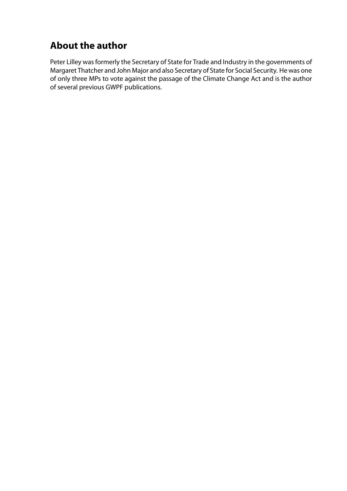# **About the author**

Peter Lilley was formerly the Secretary of State for Trade and Industry in the governments of Margaret Thatcher and John Major and also Secretary of State for Social Security. He was one of only three MPs to vote against the passage of the Climate Change Act and is the author of several previous GWPF publications.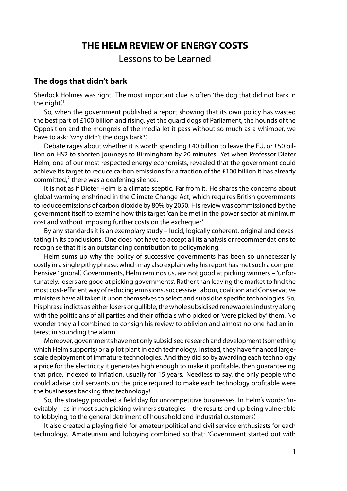## **THE HELM REVIEW OF ENERGY COSTS**

Lessons to be Learned

## **The dogs that didn't bark**

Sherlock Holmes was right. The most important clue is often 'the dog that did not bark in the night.<sup>1</sup>

So, when the government published a report showing that its own policy has wasted the best part of £100 billion and rising, yet the guard dogs of Parliament, the hounds of the Opposition and the mongrels of the media let it pass without so much as a whimper, we have to ask: 'why didn't the dogs bark?'.

Debate rages about whether it is worth spending £40 billion to leave the EU, or £50 billion on HS2 to shorten journeys to Birmingham by 20 minutes. Yet when Professor Dieter Helm, one of our most respected energy economists, revealed that the government could achieve its target to reduce carbon emissions for a fraction of the £100 billion it has already committed, $2$  there was a deafening silence.

It is not as if Dieter Helm is a climate sceptic. Far from it. He shares the concerns about global warming enshrined in the Climate Change Act, which requires British governments to reduce emissions of carbon dioxide by 80% by 2050. His review was commissioned by the government itself to examine how this target 'can be met in the power sector at minimum cost and without imposing further costs on the exchequer'.

By any standards it is an exemplary study – lucid, logically coherent, original and devastating in its conclusions. One does not have to accept all its analysis or recommendations to recognise that it is an outstanding contribution to policymaking.

Helm sums up why the policy of successive governments has been so unnecessarily costly in a single pithy phrase, which may also explain why his report has met such a comprehensive 'ignoral'. Governments, Helm reminds us, are not good at picking winners – 'unfortunately, losers are good at picking governments'. Rather than leaving the market to find the most cost-efficient way of reducing emissions, successive Labour, coalition and Conservative ministers have all taken it upon themselves to select and subsidise specific technologies. So, his phrase indicts as either losers or gullible, the whole subsidised renewables industry along with the politicians of all parties and their officials who picked or 'were picked by' them. No wonder they all combined to consign his review to oblivion and almost no-one had an interest in sounding the alarm.

Moreover, governments have not only subsidised research and development(something which Helm supports) or a pilot plant in each technology. Instead, they have financed largescale deployment of immature technologies. And they did so by awarding each technology a price for the electricity it generates high enough to make it profitable, then guaranteeing that price, indexed to inflation, usually for 15 years. Needless to say, the only people who could advise civil servants on the price required to make each technology profitable were the businesses backing that technology!

So, the strategy provided a field day for uncompetitive businesses. In Helm's words: 'inevitably – as in most such picking-winners strategies – the results end up being vulnerable to lobbying, to the general detriment of household and industrial customers'.

It also created a playing field for amateur political and civil service enthusiasts for each technology. Amateurism and lobbying combined so that: 'Government started out with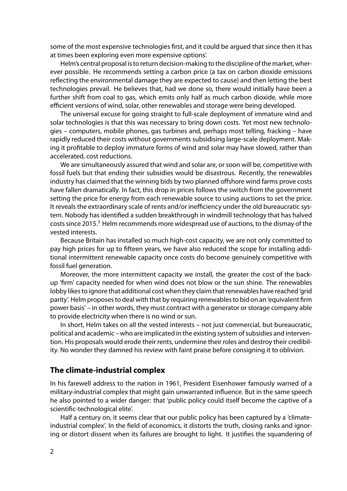some of the most expensive technologies first, and it could be argued that since then it has at times been exploring even more expensive options'.

Helm's central proposal is to return decision-making to the discipline of the market, wherever possible. He recommends setting a carbon price (a tax on carbon dioxide emissions reflecting the environmental damage they are expected to cause) and then letting the best technologies prevail. He believes that, had we done so, there would initially have been a further shift from coal to gas, which emits only half as much carbon dioxide, while more efficient versions of wind, solar, other renewables and storage were being developed.

The universal excuse for going straight to full-scale deployment of immature wind and solar technologies is that this was necessary to bring down costs. Yet most new technologies – computers, mobile phones, gas turbines and, perhaps most telling, fracking – have rapidly reduced their costs without governments subsidising large-scale deployment. Making it profitable to deploy immature forms of wind and solar may have slowed, rather than accelerated, cost reductions.

We are simultaneously assured that wind and solar are, or soon will be, competitive with fossil fuels but that ending their subsidies would be disastrous. Recently, the renewables industry has claimed that the winning bids by two planned offshore wind farms prove costs have fallen dramatically. In fact, this drop in prices follows the switch from the government setting the price for energy from each renewable source to using auctions to set the price. It reveals the extraordinary scale of rents and/or inefficiency under the old bureaucratic system. Nobody has identified a sudden breakthrough in windmill technology that has halved costs since 2015.<sup>3</sup> Helm recommends more widespread use of auctions, to the dismay of the vested interests.

Because Britain has installed so much high-cost capacity, we are not only committed to pay high prices for up to fifteen years, we have also reduced the scope for installing additional intermittent renewable capacity once costs do become genuinely competitive with fossil fuel generation.

Moreover, the more intermittent capacity we install, the greater the cost of the backup 'firm' capacity needed for when wind does not blow or the sun shine. The renewables lobby likes to ignore that additional cost when they claim that renewables have reached 'grid parity'. Helm proposes to deal with that by requiring renewables to bid on an 'equivalent firm power basis' – in other words, they must contract with a generator or storage company able to provide electricity when there is no wind or sun.

In short, Helm takes on all the vested interests – not just commercial, but bureaucratic, political and academic – who are implicated in the existing system of subsidies and intervention. His proposals would erode their rents, undermine their roles and destroy their credibility. No wonder they damned his review with faint praise before consigning it to oblivion.

#### **The climate-industrial complex**

In his farewell address to the nation in 1961, President Eisenhower famously warned of a military-industrial complex that might gain unwarranted influence. But in the same speech he also pointed to a wider danger: that 'public policy could itself become the captive of a scientific-technological elite'.

Half a century on, it seems clear that our public policy has been captured by a 'climateindustrial complex'. In the field of economics, it distorts the truth, closing ranks and ignoring or distort dissent when its failures are brought to light. It justifies the squandering of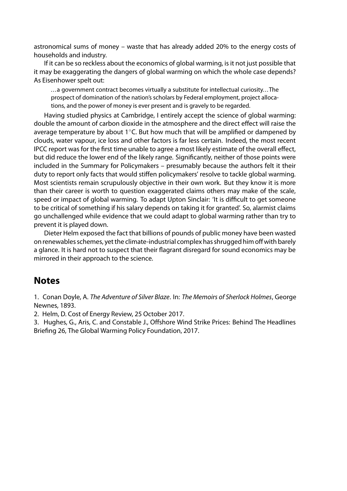astronomical sums of money – waste that has already added 20% to the energy costs of households and industry.

If it can be so reckless about the economics of global warming, is it not just possible that it may be exaggerating the dangers of global warming on which the whole case depends? As Eisenhower spelt out:

. . .a government contract becomes virtually a substitute for intellectual curiosity. . .The prospect of domination of the nation's scholars by Federal employment, project allocations, and the power of money is ever present and is gravely to be regarded.

Having studied physics at Cambridge, I entirely accept the science of global warming: double the amount of carbon dioxide in the atmosphere and the direct effect will raise the average temperature by about 1◦C. But how much that will be amplified or dampened by clouds, water vapour, ice loss and other factors is far less certain. Indeed, the most recent IPCC report was for the first time unable to agree a most likely estimate of the overall effect, but did reduce the lower end of the likely range. Significantly, neither of those points were included in the Summary for Policymakers – presumably because the authors felt it their duty to report only facts that would stiffen policymakers' resolve to tackle global warming. Most scientists remain scrupulously objective in their own work. But they know it is more than their career is worth to question exaggerated claims others may make of the scale, speed or impact of global warming. To adapt Upton Sinclair: 'It is difficult to get someone to be critical of something if his salary depends on taking it for granted'. So, alarmist claims go unchallenged while evidence that we could adapt to global warming rather than try to prevent it is played down.

Dieter Helm exposed the fact that billions of pounds of public money have been wasted on renewables schemes, yet the climate-industrial complex has shrugged him off with barely a glance. It is hard not to suspect that their flagrant disregard for sound economics may be mirrored in their approach to the science.

## **Notes**

1. Conan Doyle, A. The Adventure of Silver Blaze. In: The Memoirs of Sherlock Holmes, George Newnes, 1893.

2. Helm, D. Cost of Energy Review, 25 October 2017.

3. Hughes, G., Aris, C. and Constable J., Offshore Wind Strike Prices: Behind The Headlines Briefing 26, The Global Warming Policy Foundation, 2017.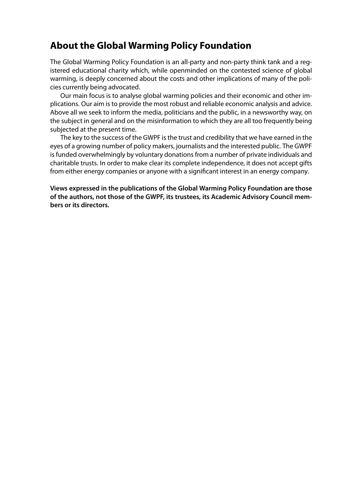# **About the Global Warming Policy Foundation**

The Global Warming Policy Foundation is an all-party and non-party think tank and a registered educational charity which, while openminded on the contested science of global warming, is deeply concerned about the costs and other implications of many of the policies currently being advocated.

Our main focus is to analyse global warming policies and their economic and other implications. Our aim is to provide the most robust and reliable economic analysis and advice. Above all we seek to inform the media, politicians and the public, in a newsworthy way, on the subject in general and on the misinformation to which they are all too frequently being subjected at the present time.

The key to the success of the GWPF is the trust and credibility that we have earned in the eyes of a growing number of policy makers, journalists and the interested public. The GWPF is funded overwhelmingly by voluntary donations from a number of private individuals and charitable trusts. In order to make clear its complete independence, it does not accept gifts from either energy companies or anyone with a significant interest in an energy company.

**Views expressed in the publications of the Global Warming Policy Foundation are those of the authors, not those of the GWPF, its trustees, its Academic Advisory Council members or its directors.**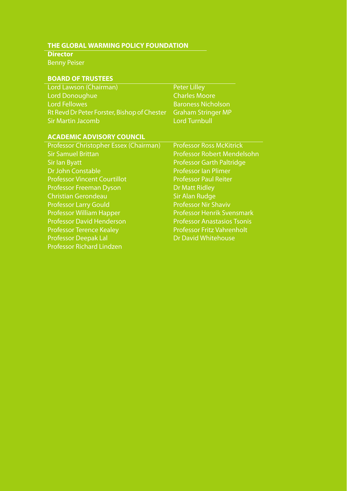## **THE GLOBAL WARMING POLICY FOUNDATION**

### **Director**

Benny Peiser

# **BOARD OF TRUSTEES**

| Lord Lawson (Chairman)                                         | <b>Peter Lilley</b>                            |  |  |
|----------------------------------------------------------------|------------------------------------------------|--|--|
| Lord Donoughue                                                 | <b>Charles Moore</b>                           |  |  |
| <b>Lord Fellowes</b>                                           | <b>Baroness Nicholson</b>                      |  |  |
| Rt Revd Dr Peter Forster, Bishop of Chester Graham Stringer MP |                                                |  |  |
| <b>Sir Martin Jacomb</b>                                       | <b>Lord Turnbull</b>                           |  |  |
|                                                                |                                                |  |  |
| <b>ACADEMIC ADVISORY COUNCIL</b>                               |                                                |  |  |
|                                                                | <b>CONTRACT COMMUNIST CONTRACT AND INCOME.</b> |  |  |

| Professor Christopher Essex (Chairman) | <b>Professor Ross McKitrick</b>    |
|----------------------------------------|------------------------------------|
| <b>Sir Samuel Brittan</b>              | Professor Robert Mendelsohn        |
| <b>Sir lan Byatt</b>                   | <b>Professor Garth Paltridge</b>   |
| Dr John Constable                      | <b>Professor Ian Plimer</b>        |
| <b>Professor Vincent Courtillot</b>    | <b>Professor Paul Reiter</b>       |
| <b>Professor Freeman Dyson</b>         | <b>Dr Matt Ridley</b>              |
| <b>Christian Gerondeau</b>             | <b>Sir Alan Rudge</b>              |
| <b>Professor Larry Gould</b>           | <b>Professor Nir Shaviv</b>        |
| <b>Professor William Happer</b>        | <b>Professor Henrik Svensmark</b>  |
| <b>Professor David Henderson</b>       | <b>Professor Anastasios Tsonis</b> |
| <b>Professor Terence Kealey</b>        | <b>Professor Fritz Vahrenholt</b>  |
| <b>Professor Deepak Lal</b>            | <b>Dr David Whitehouse</b>         |
| <b>Professor Richard Lindzen</b>       |                                    |